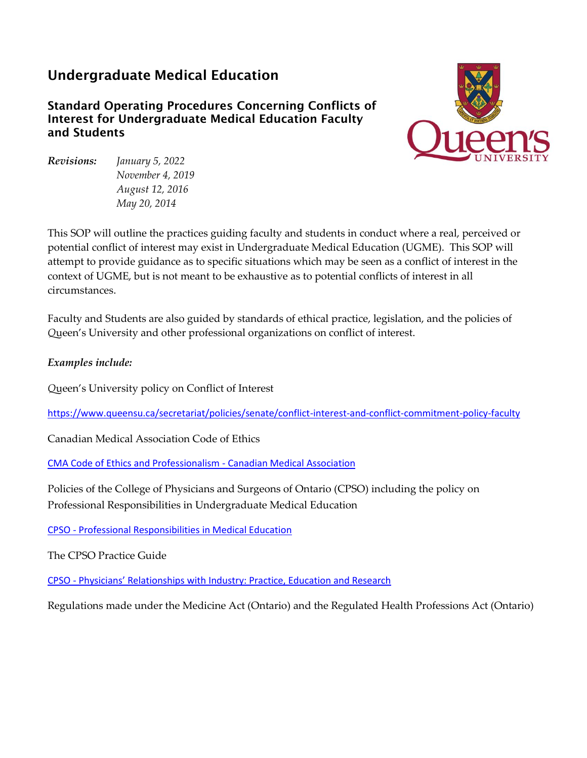# Undergraduate Medical Education

Standard Operating Procedures Concerning Conflicts of Interest for Undergraduate Medical Education Faculty and Students



*Revisions: January 5, 2022 November 4, 2019 August 12, 2016 May 20, 2014*

This SOP will outline the practices guiding faculty and students in conduct where a real, perceived or potential conflict of interest may exist in Undergraduate Medical Education (UGME). This SOP will attempt to provide guidance as to specific situations which may be seen as a conflict of interest in the context of UGME, but is not meant to be exhaustive as to potential conflicts of interest in all circumstances.

Faculty and Students are also guided by standards of ethical practice, legislation, and the policies of *Q*ueen's University and other professional organizations on conflict of interest.

### *Examples include:*

*Q*ueen's University policy on Conflict of Interest

<https://www.queensu.ca/secretariat/policies/senate/conflict-interest-and-conflict-commitment-policy-faculty>

Canadian Medical Association Code of Ethics

[CMA Code of Ethics and Professionalism -](https://policybase.cma.ca/en/permalink/policy13937) Canadian Medical Association

Policies of the College of Physicians and Surgeons of Ontario (CPSO) including the policy on Professional Responsibilities in Undergraduate Medical Education

CPSO - [Professional Responsibilities in Medical Education](https://www.cpso.on.ca/Physicians/Policies-Guidance/Policies/Professional-Responsibilities-in-Medical-Education)

The CPSO Practice Guide

CPSO - [Physicians' Relationships with Industry: Practice, Education and Research](https://www.cpso.on.ca/Physicians/Policies-Guidance/Policies/Physicians-Relationships-with-Industry-Practice)

Regulations made under the Medicine Act (Ontario) and the Regulated Health Professions Act (Ontario)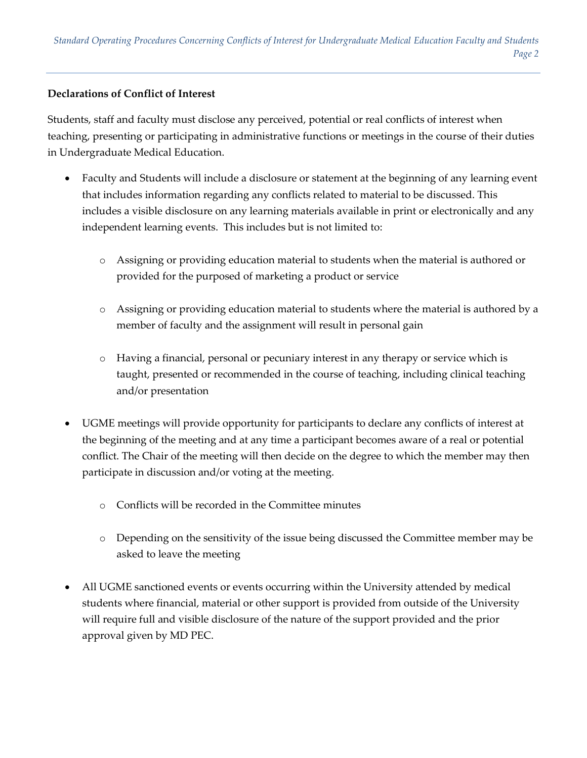#### **Declarations of Conflict of Interest**

Students, staff and faculty must disclose any perceived, potential or real conflicts of interest when teaching, presenting or participating in administrative functions or meetings in the course of their duties in Undergraduate Medical Education.

- Faculty and Students will include a disclosure or statement at the beginning of any learning event that includes information regarding any conflicts related to material to be discussed. This includes a visible disclosure on any learning materials available in print or electronically and any independent learning events. This includes but is not limited to:
	- o Assigning or providing education material to students when the material is authored or provided for the purposed of marketing a product or service
	- o Assigning or providing education material to students where the material is authored by a member of faculty and the assignment will result in personal gain
	- o Having a financial, personal or pecuniary interest in any therapy or service which is taught, presented or recommended in the course of teaching, including clinical teaching and/or presentation
- UGME meetings will provide opportunity for participants to declare any conflicts of interest at the beginning of the meeting and at any time a participant becomes aware of a real or potential conflict. The Chair of the meeting will then decide on the degree to which the member may then participate in discussion and/or voting at the meeting.
	- o Conflicts will be recorded in the Committee minutes
	- o Depending on the sensitivity of the issue being discussed the Committee member may be asked to leave the meeting
- All UGME sanctioned events or events occurring within the University attended by medical students where financial, material or other support is provided from outside of the University will require full and visible disclosure of the nature of the support provided and the prior approval given by MD PEC.